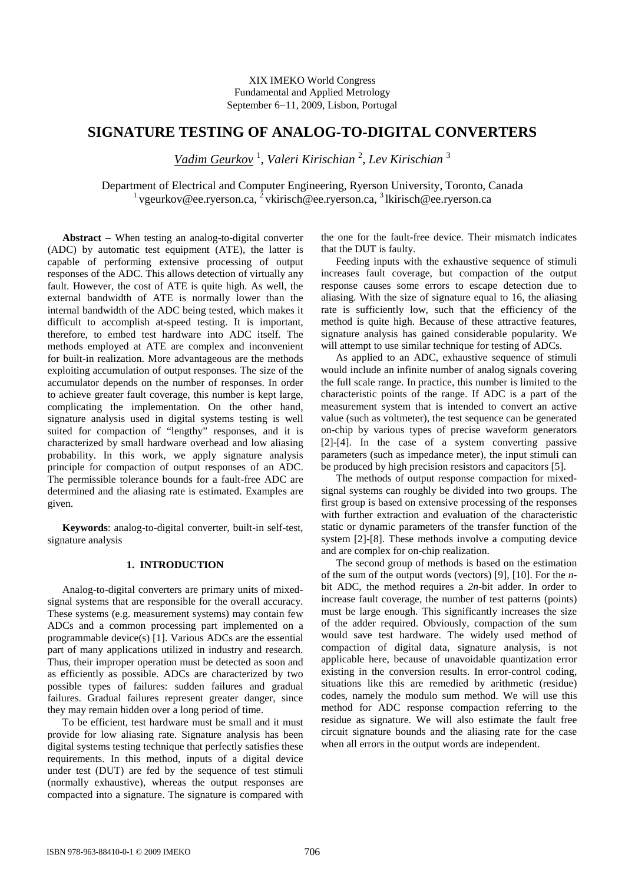# **SIGNATURE TESTING OF ANALOG-TO-DIGITAL CONVERTERS**

*Vadim Geurkov* <sup>1</sup> , *Valeri Kirischian* <sup>2</sup> , *Lev Kirischian* <sup>3</sup>

Department of Electrical and Computer Engineering, Ryerson University, Toronto, Canada  $1$  vgeurkov@ee.ryerson.ca,  $2$  vkirisch@ee.ryerson.ca,  $3$  lkirisch@ee.ryerson.ca

**Abstract** − When testing an analog-to-digital converter (ADC) by automatic test equipment (ATE), the latter is capable of performing extensive processing of output responses of the ADC. This allows detection of virtually any fault. However, the cost of ATE is quite high. As well, the external bandwidth of ATE is normally lower than the internal bandwidth of the ADC being tested, which makes it difficult to accomplish at-speed testing. It is important, therefore, to embed test hardware into ADC itself. The methods employed at ATE are complex and inconvenient for built-in realization. More advantageous are the methods exploiting accumulation of output responses. The size of the accumulator depends on the number of responses. In order to achieve greater fault coverage, this number is kept large, complicating the implementation. On the other hand, signature analysis used in digital systems testing is well suited for compaction of "lengthy" responses, and it is characterized by small hardware overhead and low aliasing probability. In this work, we apply signature analysis principle for compaction of output responses of an ADC. The permissible tolerance bounds for a fault-free ADC are determined and the aliasing rate is estimated. Examples are given.

**Keywords**: analog-to-digital converter, built-in self-test, signature analysis

### **1. INTRODUCTION**

Analog-to-digital converters are primary units of mixedsignal systems that are responsible for the overall accuracy. These systems (e.g. measurement systems) may contain few ADCs and a common processing part implemented on a programmable device(s) [1]. Various ADCs are the essential part of many applications utilized in industry and research. Thus, their improper operation must be detected as soon and as efficiently as possible. ADCs are characterized by two possible types of failures: sudden failures and gradual failures. Gradual failures represent greater danger, since they may remain hidden over a long period of time.

To be efficient, test hardware must be small and it must provide for low aliasing rate. Signature analysis has been digital systems testing technique that perfectly satisfies these requirements. In this method, inputs of a digital device under test (DUT) are fed by the sequence of test stimuli (normally exhaustive), whereas the output responses are compacted into a signature. The signature is compared with the one for the fault-free device. Their mismatch indicates that the DUT is faulty.

Feeding inputs with the exhaustive sequence of stimuli increases fault coverage, but compaction of the output response causes some errors to escape detection due to aliasing. With the size of signature equal to 16, the aliasing rate is sufficiently low, such that the efficiency of the method is quite high. Because of these attractive features, signature analysis has gained considerable popularity. We will attempt to use similar technique for testing of ADCs.

As applied to an ADC, exhaustive sequence of stimuli would include an infinite number of analog signals covering the full scale range. In practice, this number is limited to the characteristic points of the range. If ADC is a part of the measurement system that is intended to convert an active value (such as voltmeter), the test sequence can be generated on-chip by various types of precise waveform generators [2]-[4]. In the case of a system converting passive parameters (such as impedance meter), the input stimuli can be produced by high precision resistors and capacitors [5].

The methods of output response compaction for mixedsignal systems can roughly be divided into two groups. The first group is based on extensive processing of the responses with further extraction and evaluation of the characteristic static or dynamic parameters of the transfer function of the system [2]-[8]. These methods involve a computing device and are complex for on-chip realization.

The second group of methods is based on the estimation of the sum of the output words (vectors) [9], [10]. For the *n*bit ADC, the method requires a *2n*-bit adder. In order to increase fault coverage, the number of test patterns (points) must be large enough. This significantly increases the size of the adder required. Obviously, compaction of the sum would save test hardware. The widely used method of compaction of digital data, signature analysis, is not applicable here, because of unavoidable quantization error existing in the conversion results. In error-control coding, situations like this are remedied by arithmetic (residue) codes, namely the modulo sum method. We will use this method for ADC response compaction referring to the residue as signature. We will also estimate the fault free circuit signature bounds and the aliasing rate for the case when all errors in the output words are independent.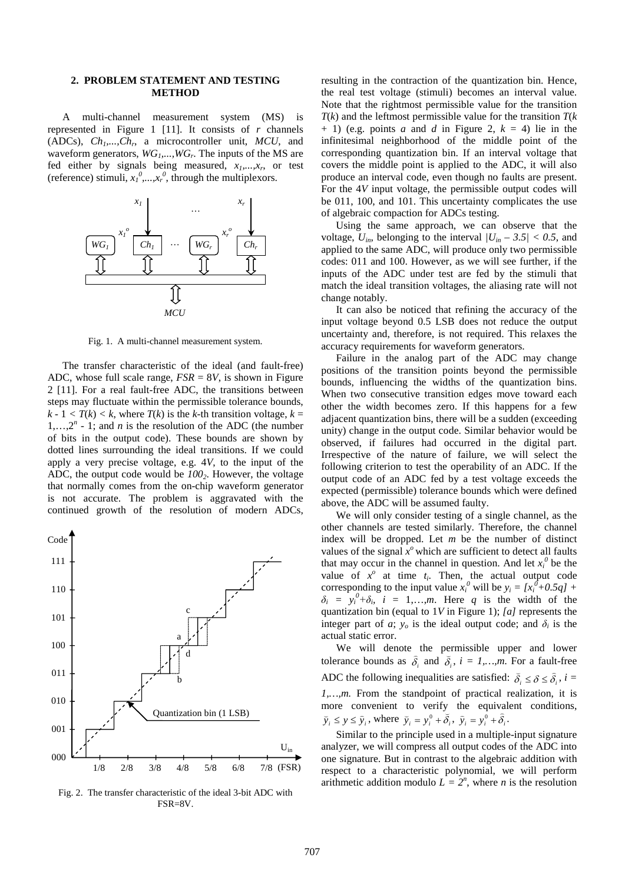#### **2. PROBLEM STATEMENT AND TESTING METHOD**

A multi-channel measurement system (MS) is represented in Figure 1 [11]. It consists of *r* channels (ADCs), *Ch1,...,Chr*, a microcontroller unit, *MCU*, and waveform generators,  $WG_1$ ,...,  $WG_r$ . The inputs of the MS are fed either by signals being measured, *x1,...,xr*, or test (reference) stimuli,  $x_1^0$ ,  $x_2^0$ , through the multiplexors.



Fig. 1. A multi-channel measurement system.

The transfer characteristic of the ideal (and fault-free) ADC, whose full scale range, *FSR* = 8*V*, is shown in Figure 2 [11]. For a real fault-free ADC, the transitions between steps may fluctuate within the permissible tolerance bounds,  $k - 1 < T(k) < k$ , where  $T(k)$  is the *k*-th transition voltage,  $k =$  $1,...,2<sup>n</sup>$  *-* 1; and *n* is the resolution of the ADC (the number of bits in the output code). These bounds are shown by dotted lines surrounding the ideal transitions. If we could apply a very precise voltage, e.g. 4*V*, to the input of the ADC, the output code would be  $100<sub>2</sub>$ . However, the voltage that normally comes from the on-chip waveform generator is not accurate. The problem is aggravated with the continued growth of the resolution of modern ADCs,



Fig. 2. The transfer characteristic of the ideal 3-bit ADC with FSR=8V.

resulting in the contraction of the quantization bin. Hence, the real test voltage (stimuli) becomes an interval value. Note that the rightmost permissible value for the transition  $T(k)$  and the leftmost permissible value for the transition  $T(k)$  $+ 1$ ) (e.g. points *a* and *d* in Figure 2,  $k = 4$ ) lie in the infinitesimal neighborhood of the middle point of the corresponding quantization bin. If an interval voltage that covers the middle point is applied to the ADC, it will also produce an interval code, even though no faults are present. For the 4*V* input voltage, the permissible output codes will be 011, 100, and 101. This uncertainty complicates the use of algebraic compaction for ADCs testing.

Using the same approach, we can observe that the voltage,  $U_{in}$ , belonging to the interval  $/U_{in}$  – 3.5/ < 0.5, and applied to the same ADC, will produce only two permissible codes: 011 and 100. However, as we will see further, if the inputs of the ADC under test are fed by the stimuli that match the ideal transition voltages, the aliasing rate will not change notably.

It can also be noticed that refining the accuracy of the input voltage beyond 0.5 LSB does not reduce the output uncertainty and, therefore, is not required. This relaxes the accuracy requirements for waveform generators.

Failure in the analog part of the ADC may change positions of the transition points beyond the permissible bounds, influencing the widths of the quantization bins. When two consecutive transition edges move toward each other the width becomes zero. If this happens for a few adjacent quantization bins, there will be a sudden (exceeding unity) change in the output code. Similar behavior would be observed, if failures had occurred in the digital part. Irrespective of the nature of failure, we will select the following criterion to test the operability of an ADC. If the output code of an ADC fed by a test voltage exceeds the expected (permissible) tolerance bounds which were defined above, the ADC will be assumed faulty.

We will only consider testing of a single channel, as the other channels are tested similarly. Therefore, the channel index will be dropped. Let *m* be the number of distinct values of the signal  $x^{\circ}$  which are sufficient to detect all faults that may occur in the channel in question. And let  $x_i^0$  be the value of  $x^{\circ}$  at time  $t_i$ . Then, the actual output code corresponding to the input value  $x_i^0$  will be  $y_i = [x_i^0 + 0.5q] +$  $\delta_i = y_i^0 + \delta_i$ , *i* = 1,…,*m*. Here *q* is the width of the quantization bin (equal to 1*V* in Figure 1); *[a]* represents the integer part of *a*;  $y_o$  is the ideal output code; and  $\delta_i$  is the actual static error.

We will denote the permissible upper and lower tolerance bounds as  $\delta_i$  and  $\delta_i$ ,  $i = 1,...,m$ . For a fault-free ADC the following inequalities are satisfied:  $\vec{\delta}_i \leq \delta \leq \hat{\delta}_i$ ,  $i =$ *1,…,m.* From the standpoint of practical realization, it is more convenient to verify the equivalent conditions,  $\tilde{y}_i \le y \le \hat{y}_i$ , where  $\tilde{y}_i = y_i^0 + \tilde{\delta}_i$ ,  $\hat{y}_i = y_i^0 + \hat{\delta}_i$ .

Similar to the principle used in a multiple-input signature analyzer, we will compress all output codes of the ADC into one signature. But in contrast to the algebraic addition with respect to a characteristic polynomial, we will perform arithmetic addition modulo  $L = 2^n$ , where *n* is the resolution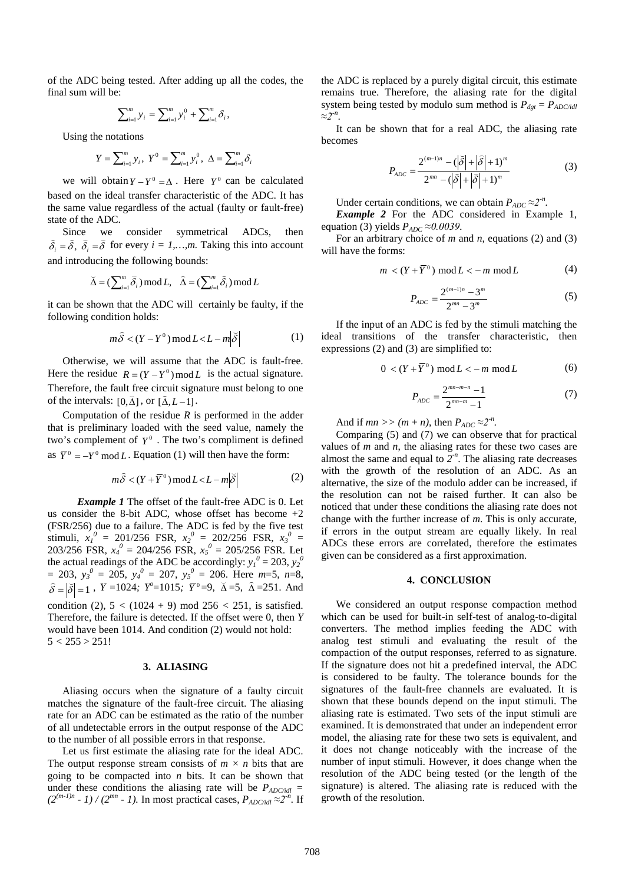of the ADC being tested. After adding up all the codes, the final sum will be:

$$
\sum_{i=1}^{m} y_i = \sum_{i=1}^{m} y_i^0 + \sum_{i=1}^{m} \delta_i,
$$

Using the notations

$$
Y = \sum_{i=1}^{m} y_i, \ Y^0 = \sum_{i=1}^{m} y_i^0, \ \Delta = \sum_{i=1}^{m} \delta_i
$$

we will obtain  $Y - Y^0 = \Delta$ . Here  $Y^0$  can be calculated based on the ideal transfer characteristic of the ADC. It has the same value regardless of the actual (faulty or fault-free) state of the ADC.

Since we consider symmetrical ADCs, then  $\delta_i = \delta$ ,  $\delta_i = \delta$  for every  $i = 1,...,m$ . Taking this into account and introducing the following bounds:

$$
\breve{\Delta} = (\sum_{i=1}^{m} \widehat{\delta}_{i}) \mod L, \quad \widehat{\Delta} = (\sum_{i=1}^{m} \breve{\delta}_{i}) \mod L
$$

it can be shown that the ADC will certainly be faulty, if the following condition holds:

$$
m\tilde{\delta} < (Y - Y^0) \bmod L < L - m\left|\tilde{\delta}\right| \tag{1}
$$

Otherwise, we will assume that the ADC is fault-free. Here the residue  $R = (Y - Y^0) \mod L$  is the actual signature. Therefore, the fault free circuit signature must belong to one of the intervals:  $[0,\bar{\Delta}]$ , or  $[\hat{\Delta}, L-1]$ .

Computation of the residue *R* is performed in the adder that is preliminary loaded with the seed value, namely the two's complement of  $Y^0$ . The two's compliment is defined as  $\overline{Y}^0 = -Y^0 \mod L$ . Equation (1) will then have the form:

$$
m\tilde{\delta} < (Y + \overline{Y}^0) \bmod L < L - m|\tilde{\delta}|
$$
 (2)

*Example 1* The offset of the fault-free ADC is 0. Let us consider the 8-bit ADC, whose offset has become +2 (FSR/256) due to a failure. The ADC is fed by the five test stimuli,  $x_1^0 = 201/256$  FSR,  $x_2^0 = 202/256$  FSR,  $x_3^0 = 0$ 203/256 FSR,  $x_4^0 = 204/256$  FSR,  $x_5^0 = 205/256$  FSR. Let the actual readings of the ADC be accordingly:  $y_l^0 = 203$ ,  $y_2^0$  $y_3^0 = 205$ ,  $y_4^0 = 207$ ,  $y_5^0 = 206$ . Here  $m=5$ ,  $n=8$ ,  $\delta = |\delta| = 1$ , *Y* =1024*; Y*<sup>o</sup>=1015*;*  $\bar{Y}^0 = 9$ ,  $\bar{\Delta} = 5$ ,  $\hat{\Delta} = 251$ . And condition (2),  $5 < (1024 + 9) \text{ mod } 256 < 251$ , is satisfied. Therefore, the failure is detected. If the offset were 0, then *Y* would have been 1014. And condition (2) would not hold:

## $5 < 255 > 251!$

# **3. ALIASING**

Aliasing occurs when the signature of a faulty circuit matches the signature of the fault-free circuit. The aliasing rate for an ADC can be estimated as the ratio of the number of all undetectable errors in the output response of the ADC to the number of all possible errors in that response.

Let us first estimate the aliasing rate for the ideal ADC. The output response stream consists of  $m \times n$  bits that are going to be compacted into *n* bits. It can be shown that under these conditions the aliasing rate will be  $P_{ADC/dll}$  =  $(2^{(m-1)n} - 1)$  /  $(2^{mn} - 1)$ . In most practical cases,  $P_{ADC/idl} \approx 2^n$ . If the ADC is replaced by a purely digital circuit, this estimate remains true. Therefore, the aliasing rate for the digital system being tested by modulo sum method is  $P_{\text{dgt}} = P_{\text{ADC/idl}}$ *≈2-n* .

It can be shown that for a real ADC, the aliasing rate becomes

$$
P_{ADC} = \frac{2^{(m-1)n} - (\left|\vec{\delta}\right| + \left|\hat{\delta}\right| + 1)^m}{2^{mn} - (\left|\vec{\delta}\right| + \left|\hat{\delta}\right| + 1)^m}
$$
(3)

Under certain conditions, we can obtain  $P_{ADC} \approx 2^{-n}$ .

*Example 2* For the ADC considered in Example 1, equation (3) yields  $P_{ADC} \approx 0.0039$ .

For an arbitrary choice of *m* and *n*, equations (2) and (3) will have the forms:

$$
m < (Y + \overline{Y}^0) \bmod L < -m \bmod L \tag{4}
$$

$$
P_{ADC} = \frac{2^{(m-1)n} - 3^m}{2^{mn} - 3^m} \tag{5}
$$

If the input of an ADC is fed by the stimuli matching the ideal transitions of the transfer characteristic, then expressions (2) and (3) are simplified to:

$$
0 < (Y + \overline{Y}^0) \bmod L < -m \bmod L \tag{6}
$$

$$
P_{ADC} = \frac{2^{mn-m-n} - 1}{2^{mn-m} - 1} \tag{7}
$$

And if  $mn \gg (m + n)$ , then  $P_{ADC} \approx 2^{-n}$ .

Comparing (5) and (7) we can observe that for practical values of *m* and *n*, the aliasing rates for these two cases are almost the same and equal to  $2<sup>-n</sup>$ . The aliasing rate decreases with the growth of the resolution of an ADC. As an alternative, the size of the modulo adder can be increased, if the resolution can not be raised further. It can also be noticed that under these conditions the aliasing rate does not change with the further increase of *m*. This is only accurate, if errors in the output stream are equally likely. In real ADCs these errors are correlated, therefore the estimates given can be considered as a first approximation.

# **4. CONCLUSION**

We considered an output response compaction method which can be used for built-in self-test of analog-to-digital converters. The method implies feeding the ADC with analog test stimuli and evaluating the result of the compaction of the output responses, referred to as signature. If the signature does not hit a predefined interval, the ADC is considered to be faulty. The tolerance bounds for the signatures of the fault-free channels are evaluated. It is shown that these bounds depend on the input stimuli. The aliasing rate is estimated. Two sets of the input stimuli are examined. It is demonstrated that under an independent error model, the aliasing rate for these two sets is equivalent, and it does not change noticeably with the increase of the number of input stimuli. However, it does change when the resolution of the ADC being tested (or the length of the signature) is altered. The aliasing rate is reduced with the growth of the resolution.